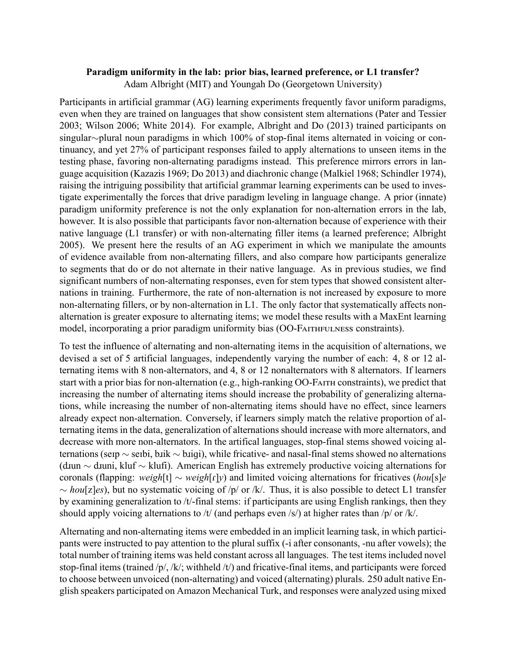## **Paradigm uniformity in the lab: prior bias, learned preference, or L1 transfer?** Adam Albright (MIT) and Youngah Do (Georgetown University)

Participants in artificial grammar (AG) learning experiments frequently favor uniform paradigms, even when they are trained on languages that show consistent stem alternations (Pater and Tessier 2003; Wilson 2006; White 2014). For example, Albright and Do (2013) trained participants on singular∼plural noun paradigms in which 100% of stop-final items alternated in voicing or continuancy, and yet 27% of participant responses failed to apply alternations to unseen items in the testing phase, favoring non-alternating paradigms instead. This preference mirrors errors in language acquisition (Kazazis 1969; Do 2013) and diachronic change (Malkiel 1968; Schindler 1974), raising the intriguing possibility that artificial grammar learning experiments can be used to investigate experimentally the forces that drive paradigm leveling in language change. A prior (innate) paradigm uniformity preference is not the only explanation for non-alternation errors in the lab, however. It is also possible that participants favor non-alternation because of experience with their native language (L1 transfer) or with non-alternating filler items (a learned preference; Albright 2005). We present here the results of an AG experiment in which we manipulate the amounts of evidence available from non-alternating fillers, and also compare how participants generalize to segments that do or do not alternate in their native language. As in previous studies, we find significant numbers of non-alternating responses, even for stem types that showed consistent alternations in training. Furthermore, the rate of non-alternation is not increased by exposure to more non-alternating fillers, or by non-alternation in L1. The only factor that systematically affects nonalternation is greater exposure to alternating items; we model these results with a MaxEnt learning model, incorporating a prior paradigm uniformity bias (OO-FAITHFULNESS constraints).

To test the influence of alternating and non-alternating items in the acquisition of alternations, we devised a set of 5 artificial languages, independently varying the number of each: 4, 8 or 12 alternating items with 8 non-alternators, and 4, 8 or 12 nonalternators with 8 alternators. If learners start with a prior bias for non-alternation (e.g., high-ranking OO-FAITH constraints), we predict that increasing the number of alternating items should increase the probability of generalizing alternations, while increasing the number of non-alternating items should have no effect, since learners already expect non-alternation. Conversely, if learners simply match the relative proportion of alternating items in the data, generalization of alternations should increase with more alternators, and decrease with more non-alternators. In the artifical languages, stop-final stems showed voicing alternations (seɪp ∼ seɪbi, bɹik ∼ bɹiɡi), while fricative- and nasal-final stems showed no alternations (dɹun ∼ dɹuni, kluf ∼ klufi). American English has extremely productive voicing alternations for coronals (flapping: *weigh*[t] ∼ *weigh*[ɾ]*y*) and limited voicing alternations for fricatives (*hou*[s]*e* ∼ *hou*[z]*es*), but no systematic voicing of /p/ or /k/. Thus, it is also possible to detect L1 transfer by examining generalization to /t/-final stems: if participants are using English rankings, then they should apply voicing alternations to /t/ (and perhaps even /s/) at higher rates than /p/ or /k/.

Alternating and non-alternating items were embedded in an implicit learning task, in which participants were instructed to pay attention to the plural suffix (-i after consonants, -nu after vowels); the total number of training items was held constant across all languages. The test items included novel stop-final items (trained /p/, /k/; withheld /t/) and fricative-final items, and participants were forced to choose between unvoiced (non-alternating) and voiced (alternating) plurals. 250 adult native English speakers participated on Amazon Mechanical Turk, and responses were analyzed using mixed